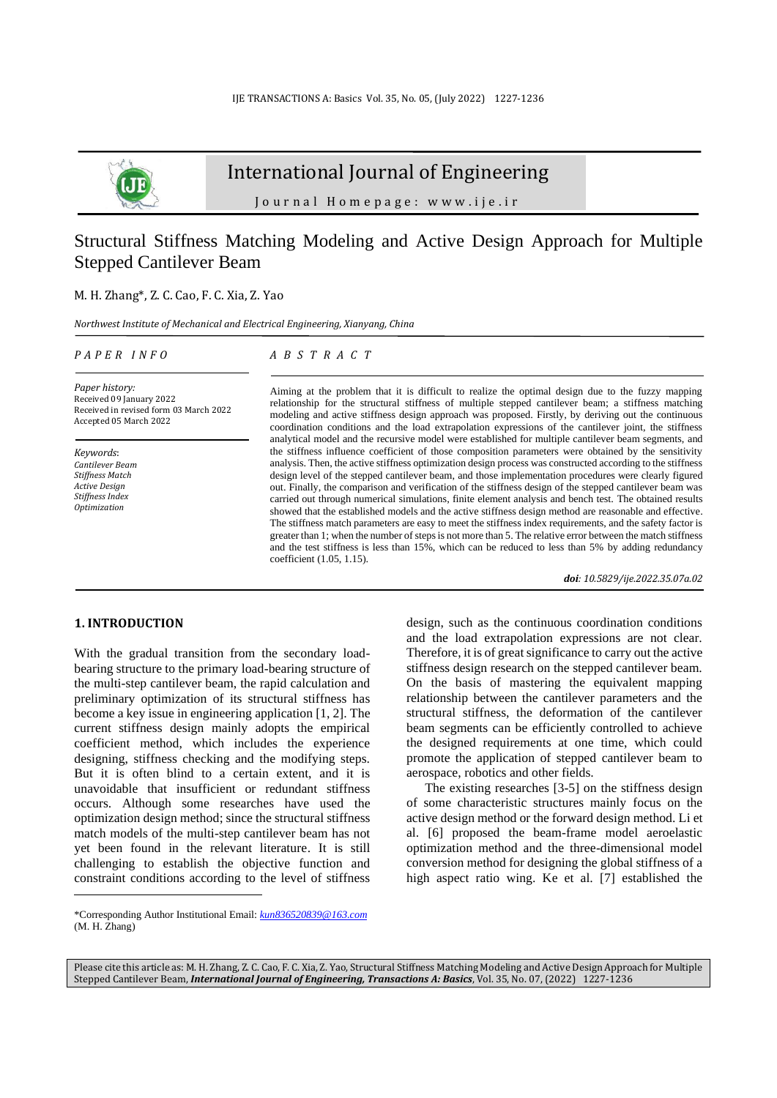

# International Journal of Engineering

J o u r n a l H o m e p a g e : w w w . i j e . i r

## Structural Stiffness Matching Modeling and Active Design Approach for Multiple Stepped Cantilever Beam

## M. H. Zhang\*, Z. C. Cao, F. C. Xia, Z. Yao

*Northwest Institute of Mechanical and Electrical Engineering, Xianyang, China*

#### *P A P E R I N F O*

## *A B S T R A C T*

*Paper history:* Received 09 January 2022 Received in revised form 03 March 2022 Accepted 05 March 2022

*Keywords*: *Cantilever Beam Stiffness Match Active Design Stiffness Index Optimization*

Aiming at the problem that it is difficult to realize the optimal design due to the fuzzy mapping relationship for the structural stiffness of multiple stepped cantilever beam; a stiffness matching modeling and active stiffness design approach was proposed. Firstly, by deriving out the continuous coordination conditions and the load extrapolation expressions of the cantilever joint, the stiffness analytical model and the recursive model were established for multiple cantilever beam segments, and the stiffness influence coefficient of those composition parameters were obtained by the sensitivity analysis. Then, the active stiffness optimization design process was constructed according to the stiffness design level of the stepped cantilever beam, and those implementation procedures were clearly figured out. Finally, the comparison and verification of the stiffness design of the stepped cantilever beam was carried out through numerical simulations, finite element analysis and bench test. The obtained results showed that the established models and the active stiffness design method are reasonable and effective. The stiffness match parameters are easy to meet the stiffness index requirements, and the safety factor is greater than 1; when the number of steps is not more than 5. The relative error between the match stiffness and the test stiffness is less than 15%, which can be reduced to less than 5% by adding redundancy coefficient (1.05, 1.15).

*doi: 10.5829/ije.2022.35.07a.02*

## **1. INTRODUCTION<sup>1</sup>**

With the gradual transition from the secondary loadbearing structure to the primary load-bearing structure of the multi-step cantilever beam, the rapid calculation and preliminary optimization of its structural stiffness has become a key issue in engineering application [1, 2]. The current stiffness design mainly adopts the empirical coefficient method, which includes the experience designing, stiffness checking and the modifying steps. But it is often blind to a certain extent, and it is unavoidable that insufficient or redundant stiffness occurs. Although some researches have used the optimization design method; since the structural stiffness match models of the multi-step cantilever beam has not yet been found in the relevant literature. It is still challenging to establish the objective function and constraint conditions according to the level of stiffness design, such as the continuous coordination conditions and the load extrapolation expressions are not clear. Therefore, it is of great significance to carry out the active stiffness design research on the stepped cantilever beam. On the basis of mastering the equivalent mapping relationship between the cantilever parameters and the structural stiffness, the deformation of the cantilever beam segments can be efficiently controlled to achieve the designed requirements at one time, which could promote the application of stepped cantilever beam to aerospace, robotics and other fields.

The existing researches [3-5] on the stiffness design of some characteristic structures mainly focus on the active design method or the forward design method. Li et al. [6] proposed the beam-frame model aeroelastic optimization method and the three-dimensional model conversion method for designing the global stiffness of a high aspect ratio wing. Ke et al. [7] established the

Please cite this article as: M. H. Zhang, Z. C. Cao, F. C. Xia, Z. Yao, Structural Stiffness Matching Modeling and Active Design Approach for Multiple Stepped Cantilever Beam, *International Journal of Engineering, Transactions A: Basics*, Vol. 35, No. 07, (2022) 1227-1236

<sup>\*</sup>Corresponding Author Institutional Email: *[kun836520839@163.com](mailto:kun836520839@163.com)* (M. H. Zhang)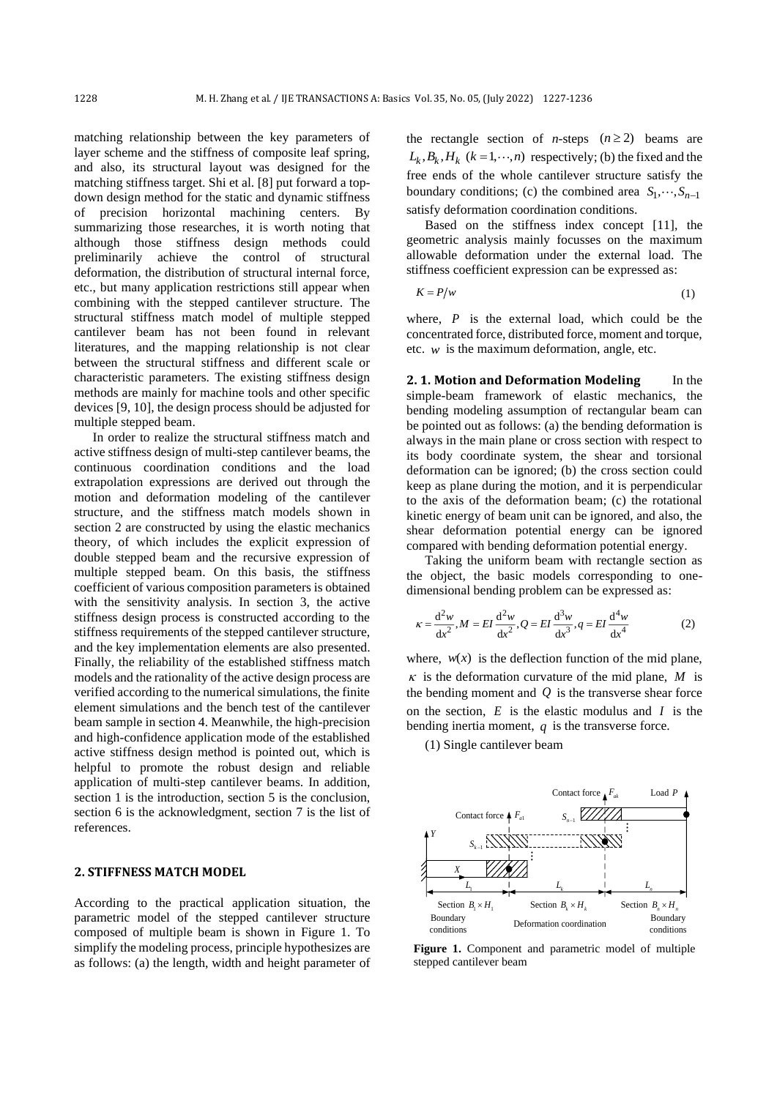matching relationship between the key parameters of layer scheme and the stiffness of composite leaf spring, and also, its structural layout was designed for the matching stiffness target. Shi et al. [8] put forward a topdown design method for the static and dynamic stiffness of precision horizontal machining centers. By summarizing those researches, it is worth noting that although those stiffness design methods could preliminarily achieve the control of structural deformation, the distribution of structural internal force, etc., but many application restrictions still appear when combining with the stepped cantilever structure. The structural stiffness match model of multiple stepped cantilever beam has not been found in relevant literatures, and the mapping relationship is not clear between the structural stiffness and different scale or characteristic parameters. The existing stiffness design methods are mainly for machine tools and other specific devices [9, 10], the design process should be adjusted for multiple stepped beam.

In order to realize the structural stiffness match and active stiffness design of multi-step cantilever beams, the continuous coordination conditions and the load extrapolation expressions are derived out through the motion and deformation modeling of the cantilever structure, and the stiffness match models shown in section 2 are constructed by using the elastic mechanics theory, of which includes the explicit expression of double stepped beam and the recursive expression of multiple stepped beam. On this basis, the stiffness coefficient of various composition parameters is obtained with the sensitivity analysis. In section 3, the active stiffness design process is constructed according to the stiffness requirements of the stepped cantilever structure, and the key implementation elements are also presented. Finally, the reliability of the established stiffness match models and the rationality of the active design process are verified according to the numerical simulations, the finite element simulations and the bench test of the cantilever beam sample in section 4. Meanwhile, the high-precision and high-confidence application mode of the established active stiffness design method is pointed out, which is helpful to promote the robust design and reliable application of multi-step cantilever beams. In addition, section 1 is the introduction, section 5 is the conclusion, section 6 is the acknowledgment, section 7 is the list of references.

#### **2. STIFFNESS MATCH MODEL**

According to the practical application situation, the parametric model of the stepped cantilever structure composed of multiple beam is shown in Figure 1. To simplify the modeling process, principle hypothesizes are as follows: (a) the length, width and height parameter of

the rectangle section of *n*-steps  $(n \ge 2)$  beams are  $L_k, B_k, H_k$  ( $k = 1, \dots, n$ ) respectively; (b) the fixed and the free ends of the whole cantilever structure satisfy the boundary conditions; (c) the combined area  $S_1, \dots, S_{n-1}$ satisfy deformation coordination conditions.

Based on the stiffness index concept [11], the geometric analysis mainly focusses on the maximum allowable deformation under the external load. The stiffness coefficient expression can be expressed as:

$$
K = P/w \tag{1}
$$

where,  $P$  is the external load, which could be the concentrated force, distributed force, moment and torque, etc. *w* is the maximum deformation, angle, etc.

**2. 1. Motion and Deformation Modeling** In the simple-beam framework of elastic mechanics, the bending modeling assumption of rectangular beam can be pointed out as follows: (a) the bending deformation is always in the main plane or cross section with respect to its body coordinate system, the shear and torsional deformation can be ignored; (b) the cross section could keep as plane during the motion, and it is perpendicular to the axis of the deformation beam; (c) the rotational kinetic energy of beam unit can be ignored, and also, the shear deformation potential energy can be ignored compared with bending deformation potential energy.

Taking the uniform beam with rectangle section as the object, the basic models corresponding to onedimensional bending problem can be expressed as:

$$
\kappa = \frac{d^2 w}{dx^2}, M = EI \frac{d^2 w}{dx^2}, Q = EI \frac{d^3 w}{dx^3}, q = EI \frac{d^4 w}{dx^4}
$$
 (2)

where,  $w(x)$  is the deflection function of the mid plane,  $\kappa$  is the deformation curvature of the mid plane,  $M$  is the bending moment and  $Q$  is the transverse shear force on the section,  $E$  is the elastic modulus and  $I$  is the bending inertia moment,  $q$  is the transverse force.

(1) Single cantilever beam



**Figure 1.** Component and parametric model of multiple stepped cantilever beam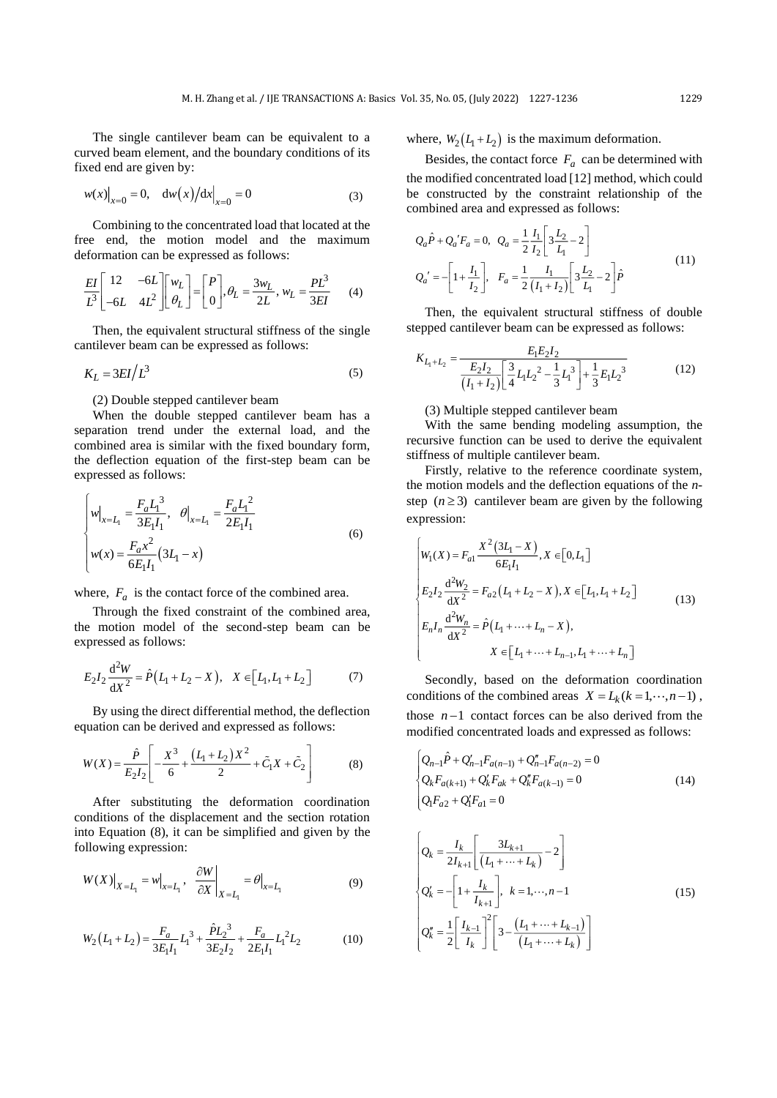The single cantilever beam can be equivalent to a curved beam element, and the boundary conditions of its fixed end are given by:

$$
w(x)|_{x=0} = 0, \quad dw(x)/dx|_{x=0} = 0
$$
 (3)

Combining to the concentrated load that located at the free end, the motion model and the maximum deformation can be expressed as follows:

$$
\frac{EI}{L^3} \begin{bmatrix} 12 & -6L \\ -6L & 4L^2 \end{bmatrix} \begin{bmatrix} w_L \\ \theta_L \end{bmatrix} = \begin{bmatrix} P \\ 0 \end{bmatrix}, \theta_L = \frac{3w_L}{2L}, w_L = \frac{PL^3}{3EI} \tag{4}
$$

Then, the equivalent structural stiffness of the single cantilever beam can be expressed as follows:

$$
K_L = 3EI/L^3 \tag{5}
$$

#### (2) Double stepped cantilever beam

When the double stepped cantilever beam has a separation trend under the external load, and the combined area is similar with the fixed boundary form, the deflection equation of the first-step beam can be expressed as follows:

$$
\begin{cases}\n w\big|_{x=L_1} = \frac{F_a L_1^3}{3E_1 I_1}, & \theta\big|_{x=L_1} = \frac{F_a L_1^2}{2E_1 I_1} \\
 w(x) = \frac{F_a x^2}{6E_1 I_1} (3L_1 - x)\n\end{cases} \tag{6}
$$

where,  $F_a$  is the contact force of the combined area.

Through the fixed constraint of the combined area, the motion model of the second-step beam can be expressed as follows:

$$
E_2 I_2 \frac{d^2 W}{dX^2} = \hat{P}(L_1 + L_2 - X), \quad X \in [L_1, L_1 + L_2]
$$
 (7)

By using the direct differential method, the deflection equation can be derived and expressed as follows:

$$
W(X) = \frac{\hat{P}}{E_2 I_2} \left[ -\frac{X^3}{6} + \frac{(L_1 + L_2)X^2}{2} + \tilde{C}_1 X + \tilde{C}_2 \right]
$$
(8)

After substituting the deformation coordination conditions of the displacement and the section rotation into Equation (8), it can be simplified and given by the following expression:

$$
W(X)\big|_{X=L_1} = w\big|_{x=L_1}, \quad \frac{\partial W}{\partial X}\big|_{X=L_1} = \theta\big|_{x=L_1}
$$
 (9)

$$
W_2(L_1 + L_2) = \frac{F_a}{3E_1I_1}L_1^3 + \frac{\hat{P}L_2^3}{3E_2I_2} + \frac{F_a}{2E_1I_1}L_1^2L_2
$$
 (10)

where,  $W_2(L_1 + L_2)$  is the maximum deformation.

Besides, the contact force  $F_a$  can be determined with the modified concentrated load [12] method, which could be constructed by the constraint relationship of the combined area and expressed as follows:

$$
Q_a \hat{P} + Q_a' F_a = 0, \ Q_a = \frac{1}{2} \frac{I_1}{I_2} \left[ 3 \frac{L_2}{L_1} - 2 \right]
$$
  

$$
Q_a' = - \left[ 1 + \frac{I_1}{I_2} \right], \ F_a = \frac{1}{2} \frac{I_1}{(I_1 + I_2)} \left[ 3 \frac{L_2}{L_1} - 2 \right] \hat{P}
$$
 (11)

Then, the equivalent structural stiffness of double stepped cantilever beam can be expressed as follows:

$$
K_{L_1+L_2} = \frac{E_1 E_2 I_2}{\left(I_1 + I_2\right)} \left[\frac{3}{4} L_1 L_2^2 - \frac{1}{3} L_1^3\right] + \frac{1}{3} E_1 L_2^3\tag{12}
$$

### (3) Multiple stepped cantilever beam

With the same bending modeling assumption, the recursive function can be used to derive the equivalent stiffness of multiple cantilever beam.

Firstly, relative to the reference coordinate system, the motion models and the deflection equations of the *n*step  $(n \ge 3)$  cantilever beam are given by the following expression:

$$
\begin{cases}\nW_1(X) = F_{a1} \frac{X^2 (3L_1 - X)}{6E_1 I_1}, X \in [0, L_1] \\
E_2 I_2 \frac{d^2 W_2}{dx^2} = F_{a2} (L_1 + L_2 - X), X \in [L_1, L_1 + L_2] \\
E_n I_n \frac{d^2 W_n}{dx^2} = \hat{P}(L_1 + \dots + L_n - X), \\
X \in [L_1 + \dots + L_{n-1}, L_1 + \dots + L_n]\n\end{cases}
$$
\n(13)

Secondly, based on the deformation coordination conditions of the combined areas  $X = L_k (k = 1, \dots, n-1)$ , those  $n-1$  contact forces can be also derived from the modified concentrated loads and expressed as follows:

$$
\begin{cases} Q_{n-1}\hat{P} + Q'_{n-1}F_{a(n-1)} + Q''_{n-1}F_{a(n-2)} = 0 \\ Q_kF_{a(k+1)} + Q'_kF_{ak} + Q''_kF_{a(k-1)} = 0 \\ Q_1F_{a2} + Q'_1F_{a1} = 0 \end{cases}
$$
 (14)

$$
\begin{cases}\nQ_k = \frac{I_k}{2I_{k+1}} \left[ \frac{3L_{k+1}}{(L_1 + \dots + L_k)} - 2 \right] \\
Q'_k = -\left[ 1 + \frac{I_k}{I_{k+1}} \right], \quad k = 1, \dots, n-1 \\
Q''_k = \frac{1}{2} \left[ \frac{I_{k-1}}{I_k} \right]^2 \left[ 3 - \frac{(L_1 + \dots + L_{k-1})}{(L_1 + \dots + L_k)} \right]\n\end{cases} (15)
$$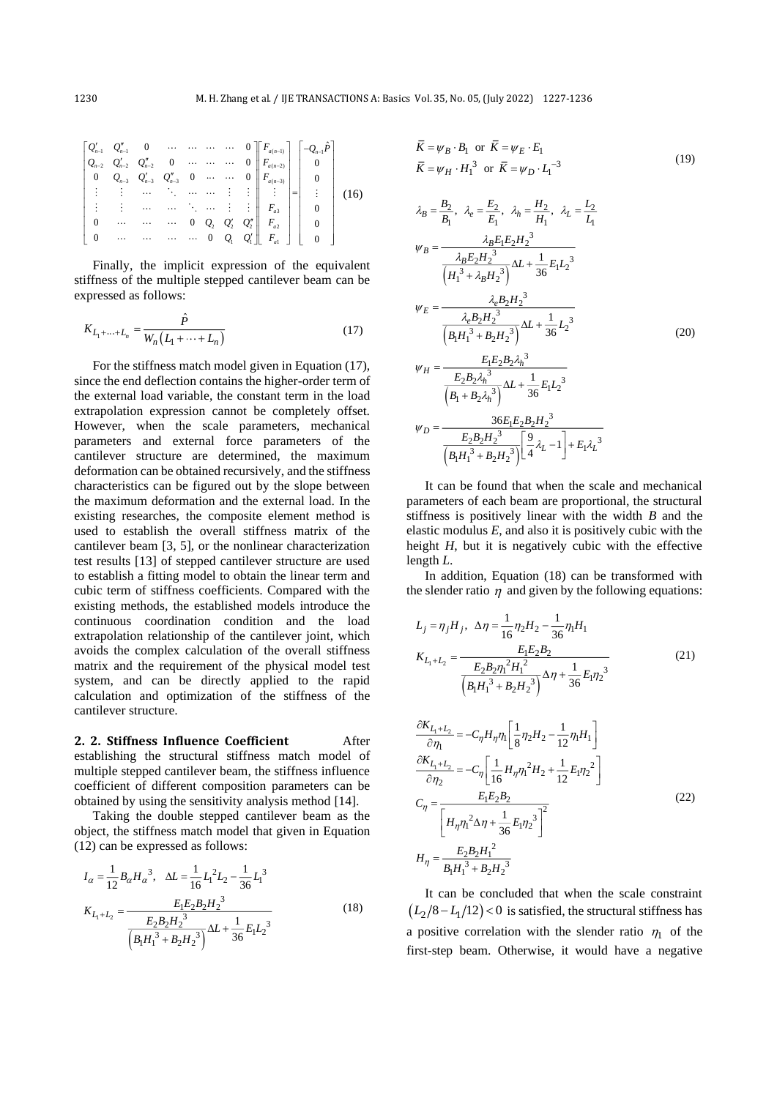$\equiv$ 

$$
\begin{bmatrix}\nQ'_{n-1} & Q'_{n-1} & 0 & \cdots & \cdots & \cdots & 0 \\
Q_{n-2} & Q'_{n-2} & Q''_{n-2} & 0 & \cdots & \cdots & 0 \\
0 & Q_{n-3} & Q'_{n-3} & Q''_{n-3} & 0 & \cdots & \cdots & 0 \\
\vdots & \vdots & \cdots & \ddots & \ddots & \cdots & \vdots & \vdots \\
0 & \cdots & \cdots & \cdots & \cdots & 0 & Q_2 & Q'_2 & Q''_1 \\
0 & \cdots & \cdots & \cdots & 0 & Q_2 & Q'_2 & Q''_1 & F_{a2} \\
0 & \cdots & \cdots & \cdots & \cdots & 0 & Q_1 & Q'_1 & F_{a1}\n\end{bmatrix}\n\begin{bmatrix}\n-Q_{n-1}\hat{P} \\
Q_{n-1}\hat{P} \\
Q \\
Q \\
Q \\
Q \\
Q \\
P_{n}\n\end{bmatrix} =\n\begin{bmatrix}\n-Q_{n-1}\hat{P} \\
0 \\
0 \\
\vdots \\
0 \\
0\n\end{bmatrix}
$$
\n(16)

Finally, the implicit expression of the equivalent stiffness of the multiple stepped cantilever beam can be expressed as follows:

$$
K_{L_1 + \dots + L_n} = \frac{\hat{P}}{W_n (L_1 + \dots + L_n)}
$$
(17)

For the stiffness match model given in Equation (17), since the end deflection contains the higher-order term of the external load variable, the constant term in the load extrapolation expression cannot be completely offset. However, when the scale parameters, mechanical parameters and external force parameters of the cantilever structure are determined, the maximum deformation can be obtained recursively, and the stiffness characteristics can be figured out by the slope between the maximum deformation and the external load. In the existing researches, the composite element method is used to establish the overall stiffness matrix of the cantilever beam [3, 5], or the nonlinear characterization test results [13] of stepped cantilever structure are used to establish a fitting model to obtain the linear term and cubic term of stiffness coefficients. Compared with the existing methods, the established models introduce the continuous coordination condition and the load extrapolation relationship of the cantilever joint, which avoids the complex calculation of the overall stiffness matrix and the requirement of the physical model test system, and can be directly applied to the rapid calculation and optimization of the stiffness of the cantilever structure.

### **2. 2. Stiffness Influence Coefficient** After

establishing the structural stiffness match model of multiple stepped cantilever beam, the stiffness influence coefficient of different composition parameters can be obtained by using the sensitivity analysis method [14].

Taking the double stepped cantilever beam as the object, the stiffness match model that given in Equation (12) can be expressed as follows:

$$
I_{\alpha} = \frac{1}{12} B_{\alpha} H_{\alpha}^{3}, \quad \Delta L = \frac{1}{16} L_{1}^{2} L_{2} - \frac{1}{36} L_{1}^{3}
$$

$$
K_{L_{1} + L_{2}} = \frac{E_{1} E_{2} B_{2} H_{2}^{3}}{\frac{E_{2} B_{2} H_{2}^{3}}{\left(B_{1} H_{1}^{3} + B_{2} H_{2}^{3}\right)} \Delta L + \frac{1}{36} E_{1} L_{2}^{3}}
$$
(18)

$$
\overline{K} = \psi_B \cdot B_1 \text{ or } \overline{K} = \psi_E \cdot E_1
$$
\n
$$
\overline{K} = \psi_H \cdot H_1^3 \text{ or } \overline{K} = \psi_D \cdot L_1^{-3}
$$
\n
$$
\lambda_B = \frac{B_2}{B_1}, \ \lambda_e = \frac{E_2}{E_1}, \ \lambda_h = \frac{H_2}{H_1}, \ \lambda_L = \frac{L_2}{L_1}
$$
\n
$$
\psi_B = \frac{\lambda_B E_1 E_2 H_2^3}{\left(H_1^3 + \lambda_B H_2^3\right)} \Delta L + \frac{1}{36} E_1 L_2^3
$$
\n
$$
\psi_E = \frac{\lambda_e B_2 H_2^3}{\left(B_1 H_1^3 + B_2 H_2^3\right)} \Delta L + \frac{1}{36} L_2^3
$$
\n
$$
\psi_H = \frac{E_1 E_2 B_2 \lambda_h^3}{\left(B_1 + B_2 \lambda_h^3\right)} \Delta L + \frac{1}{36} E_1 L_2^3
$$
\n
$$
\psi_D = \frac{36 E_1 E_2 B_2 H_2^3}{\left(B_1 + B_2 \lambda_h^3\right)} \Delta L + \frac{1}{36} E_1 L_2^3
$$
\n
$$
\psi_D = \frac{36 E_1 E_2 B_2 H_2^3}{\left(B_1 H_1^3 + B_2 H_2^3\right)} \left[\frac{9}{4} \lambda_L - 1\right] + E_1 \lambda_L^3
$$

It can be found that when the scale and mechanical parameters of each beam are proportional, the structural stiffness is positively linear with the width *B* and the elastic modulus *E*, and also it is positively cubic with the height *H*, but it is negatively cubic with the effective length *L*.

In addition, Equation (18) can be transformed with the slender ratio  $\eta$  and given by the following equations:

$$
L_j = \eta_j H_j, \ \ \Delta \eta = \frac{1}{16} \eta_2 H_2 - \frac{1}{36} \eta_1 H_1
$$
  

$$
K_{L_1 + L_2} = \frac{E_1 E_2 B_2}{\left(\frac{E_2 B_2 \eta_1^2 H_1^2}{\left(H_1^3 + B_2 H_2^3\right)}\right)} \Delta \eta + \frac{1}{36} E_1 \eta_2^3
$$
(21)

$$
\frac{\partial K_{L_1+L_2}}{\partial \eta_1} = -C_{\eta} H_{\eta} \eta_1 \left[ \frac{1}{8} \eta_2 H_2 - \frac{1}{12} \eta_1 H_1 \right]
$$
  
\n
$$
\frac{\partial K_{L_1+L_2}}{\partial \eta_2} = -C_{\eta} \left[ \frac{1}{16} H_{\eta} \eta_1^2 H_2 + \frac{1}{12} E_1 \eta_2^2 \right]
$$
  
\n
$$
C_{\eta} = \frac{E_1 E_2 B_2}{\left[ H_{\eta} \eta_1^2 \Delta \eta + \frac{1}{36} E_1 \eta_2^3 \right]^2}
$$
  
\n
$$
H_{\eta} = \frac{E_2 B_2 H_1^2}{B_1 H_1^3 + B_2 H_2^3}
$$
\n(22)

It can be concluded that when the scale constraint  $(L_2/8 - L_1/12) < 0$  is satisfied, the structural stiffness has a positive correlation with the slender ratio  $\eta_1$  of the first-step beam. Otherwise, it would have a negative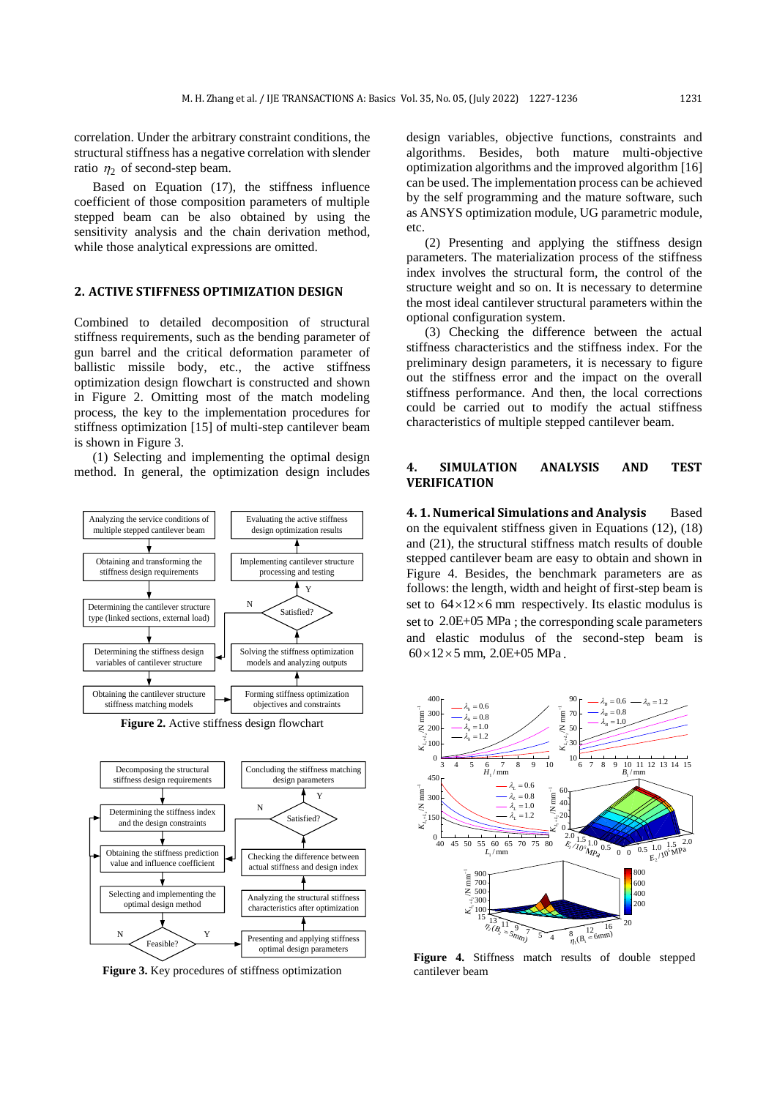correlation. Under the arbitrary constraint conditions, the structural stiffness has a negative correlation with slender ratio  $\eta_2$  of second-step beam.

Based on Equation (17), the stiffness influence coefficient of those composition parameters of multiple stepped beam can be also obtained by using the sensitivity analysis and the chain derivation method, while those analytical expressions are omitted.

## **2. ACTIVE STIFFNESS OPTIMIZATION DESIGN**

Combined to detailed decomposition of structural stiffness requirements, such as the bending parameter of gun barrel and the critical deformation parameter of ballistic missile body, etc., the active stiffness optimization design flowchart is constructed and shown in Figure 2. Omitting most of the match modeling process, the key to the implementation procedures for stiffness optimization [15] of multi-step cantilever beam is shown in Figure 3.

(1) Selecting and implementing the optimal design method. In general, the optimization design includes



Decomposing the structural stiffness design requirements Feasible? Y N  $N$   $\swarrow$   $Y$ Determining the stiffness index and the design constraints Obtaining the stiffness prediction value and influence coefficient Selecting and implementing the optimal design method Presenting and applying stiffness The structural stiffness matching<br>
Analyzing the structural stiffness<br>
Checking the difference between<br>
actual stiffness and design index<br>
Analyzing the structural stiffness<br>
characteristics after optimization<br>
Presenting

Figure 3. Key procedures of stiffness optimization

design variables, objective functions, constraints and algorithms. Besides, both mature multi-objective optimization algorithms and the improved algorithm [16] can be used. The implementation process can be achieved by the self programming and the mature software, such as ANSYS optimization module, UG parametric module, etc.

(2) Presenting and applying the stiffness design parameters. The materialization process of the stiffness index involves the structural form, the control of the structure weight and so on. It is necessary to determine the most ideal cantilever structural parameters within the optional configuration system.

(3) Checking the difference between the actual stiffness characteristics and the stiffness index. For the preliminary design parameters, it is necessary to figure out the stiffness error and the impact on the overall stiffness performance. And then, the local corrections could be carried out to modify the actual stiffness characteristics of multiple stepped cantilever beam.

### **4. SIMULATION ANALYSIS AND TEST VERIFICATION**

**4. 1. Numerical Simulations and Analysis** Based on the equivalent stiffness given in Equations (12), (18) and (21), the structural stiffness match results of double stepped cantilever beam are easy to obtain and shown in Figure 4. Besides, the benchmark parameters are as follows: the length, width and height of first-step beam is set to  $64 \times 12 \times 6$  mm respectively. Its elastic modulus is set to 2.0E+05 MPa ; the corresponding scale parameters and elastic modulus of the second-step beam is  $60 \times 12 \times 5$  mm, 2.0E+05 MPa.



**Figure 4.** Stiffness match results of double stepped cantilever beam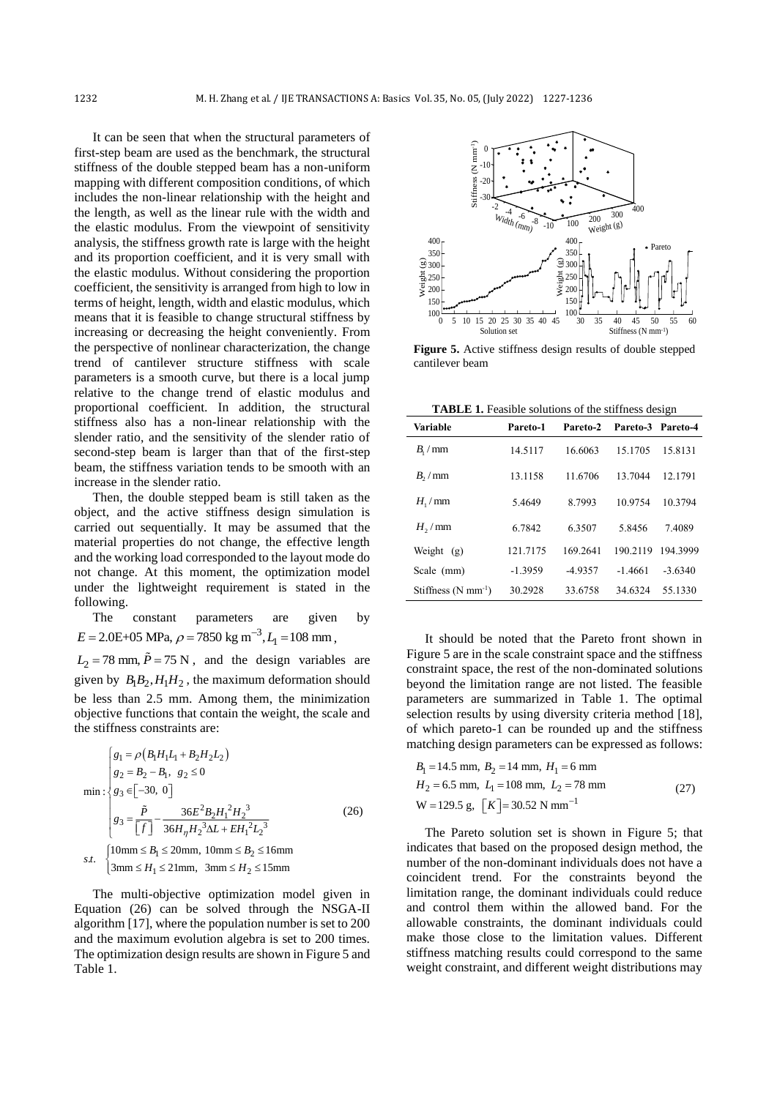It can be seen that when the structural parameters of first-step beam are used as the benchmark, the structural stiffness of the double stepped beam has a non-uniform mapping with different composition conditions, of which includes the non-linear relationship with the height and the length, as well as the linear rule with the width and the elastic modulus. From the viewpoint of sensitivity analysis, the stiffness growth rate is large with the height and its proportion coefficient, and it is very small with the elastic modulus. Without considering the proportion coefficient, the sensitivity is arranged from high to low in terms of height, length, width and elastic modulus, which means that it is feasible to change structural stiffness by increasing or decreasing the height conveniently. From the perspective of nonlinear characterization, the change trend of cantilever structure stiffness with scale parameters is a smooth curve, but there is a local jump relative to the change trend of elastic modulus and proportional coefficient. In addition, the structural stiffness also has a non-linear relationship with the slender ratio, and the sensitivity of the slender ratio of second-step beam is larger than that of the first-step beam, the stiffness variation tends to be smooth with an increase in the slender ratio.

Then, the double stepped beam is still taken as the object, and the active stiffness design simulation is carried out sequentially. It may be assumed that the material properties do not change, the effective length and the working load corresponded to the layout mode do not change. At this moment, the optimization model under the lightweight requirement is stated in the following.

The constant parameters are given by  $E = 2.0E + 05 \text{ MPa}, \rho = 7850 \text{ kg m}^{-3}, L_1 = 108 \text{ mm},$ 

 $L_2 = 78$  mm,  $P = 75$  N, and the design variables are given by  $B_1B_2$ ,  $H_1H_2$ , the maximum deformation should be less than 2.5 mm. Among them, the minimization objective functions that contain the weight, the scale and the stiffness constraints are:

$$
\begin{cases}\ng_1 = \rho (B_1 H_1 I_1 + B_2 H_2 I_2) \\
g_2 = B_2 - B_1, \ g_2 \le 0\n\end{cases}
$$
\n
$$
\text{min}: \begin{cases}\ng_3 \in [-30, 0] \\
g_3 = \frac{\tilde{P}}{\left[\int \right]} - \frac{36E^2 B_2 H_1^2 H_2^3}{36H_\eta H_2^3 \Delta L + EH_1^2 L_2^3}\n\end{cases}
$$
\n
$$
\text{s.t. } \begin{cases}\n10 \text{mm} \le B_1 \le 20 \text{mm}, \ 10 \text{mm} \le B_2 \le 16 \text{mm} \\
3 \text{mm} \le H_1 \le 21 \text{mm}, \ 3 \text{mm} \le H_2 \le 15 \text{mm}\n\end{cases}
$$
\n(26)

The multi-objective optimization model given in Equation (26) can be solved through the NSGA-II algorithm [17], where the population number is set to 200 and the maximum evolution algebra is set to 200 times. The optimization design results are shown in Figure 5 and Table 1.



**Figure 5.** Active stiffness design results of double stepped cantilever beam

**TABLE 1.** Feasible solutions of the stiffness design

| Variable                                    | Pareto-1  | Pareto-2  | Pareto-3 Pareto-4 |           |
|---------------------------------------------|-----------|-----------|-------------------|-----------|
| $B_{\scriptscriptstyle\perp}/\,\mathrm{mm}$ | 14.5117   | 16.6063   | 15.1705           | 15.8131   |
| $B_2/mm$                                    | 13.1158   | 11.6706   | 13.7044           | 12.1791   |
| $H_1/mm$                                    | 5.4649    | 8.7993    | 10.9754           | 10.3794   |
| $H2$ /mm                                    | 6.7842    | 6.3507    | 5.8456            | 7.4089    |
| Weight<br>(g)                               | 121.7175  | 169.2641  | 190.2119          | 194.3999  |
| Scale (mm)                                  | $-1.3959$ | $-4.9357$ | $-1.4661$         | $-3.6340$ |
| Stiffness $(N \text{ mm}^{-1})$             | 30.2928   | 33.6758   | 34.6324           | 55.1330   |

It should be noted that the Pareto front shown in Figure 5 are in the scale constraint space and the stiffness constraint space, the rest of the non-dominated solutions beyond the limitation range are not listed. The feasible parameters are summarized in Table 1. The optimal selection results by using diversity criteria method [18], of which pareto-1 can be rounded up and the stiffness matching design parameters can be expressed as follows:

$$
B_1 = 14.5 \text{ mm}, B_2 = 14 \text{ mm}, H_1 = 6 \text{ mm}
$$
  
\n
$$
H_2 = 6.5 \text{ mm}, L_1 = 108 \text{ mm}, L_2 = 78 \text{ mm}
$$
  
\n
$$
W = 129.5 \text{ g}, [K] = 30.52 \text{ N mm}^{-1}
$$
 (27)

The Pareto solution set is shown in Figure 5; that indicates that based on the proposed design method, the number of the non-dominant individuals does not have a coincident trend. For the constraints beyond the limitation range, the dominant individuals could reduce and control them within the allowed band. For the allowable constraints, the dominant individuals could make those close to the limitation values. Different stiffness matching results could correspond to the same weight constraint, and different weight distributions may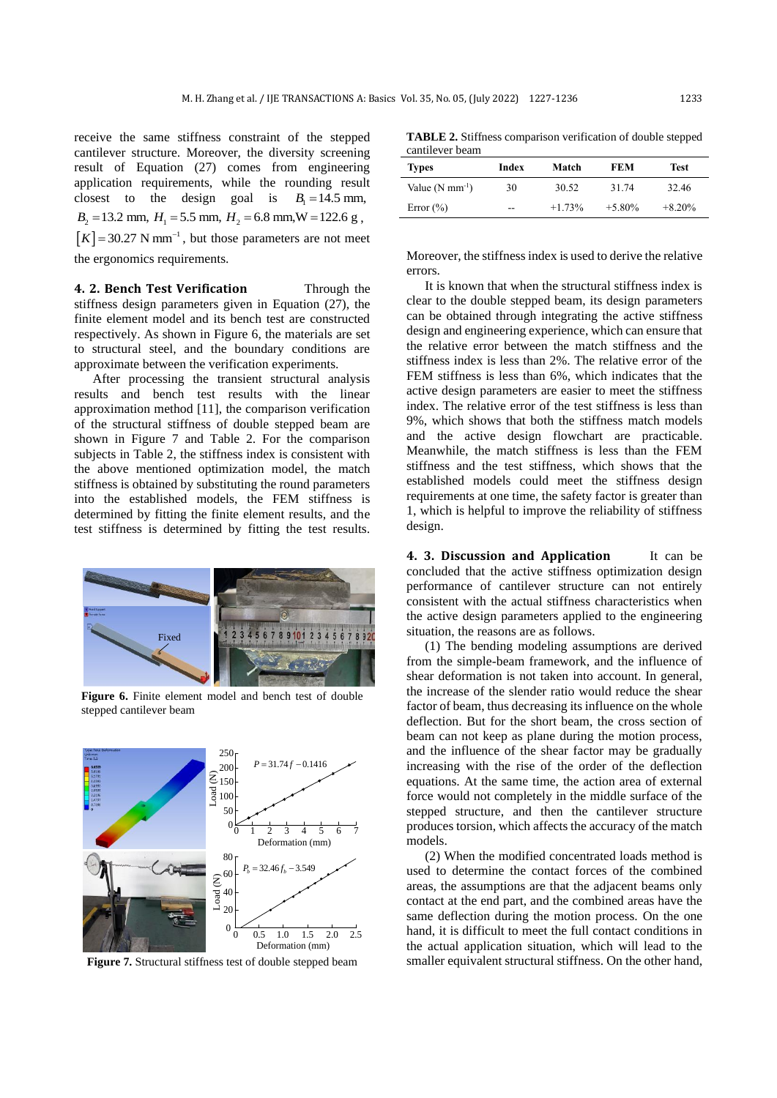receive the same stiffness constraint of the stepped cantilever structure. Moreover, the diversity screening result of Equation (27) comes from engineering application requirements, while the rounding result closest to the design goal is  $B_1 = 14.5$  mm,  $B_2 = 13.2$  mm,  $H_1 = 5.5$  mm,  $H_2 = 6.8$  mm,  $W = 122.6$  g,  $[K] = 30.27$  N mm<sup>-1</sup>, but those parameters are not meet

the ergonomics requirements.

**4. 2. Bench Test Verification** Through the stiffness design parameters given in Equation (27), the finite element model and its bench test are constructed respectively. As shown in Figure 6, the materials are set to structural steel, and the boundary conditions are approximate between the verification experiments.

After processing the transient structural analysis results and bench test results with the linear approximation method [11], the comparison verification of the structural stiffness of double stepped beam are shown in Figure 7 and Table 2. For the comparison subjects in Table 2, the stiffness index is consistent with the above mentioned optimization model, the match stiffness is obtained by substituting the round parameters into the established models, the FEM stiffness is determined by fitting the finite element results, and the test stiffness is determined by fitting the test results.



**Figure 6.** Finite element model and bench test of double stepped cantilever beam



**Figure 7.** Structural stiffness test of double stepped beam

**TABLE 2.** Stiffness comparison verification of double stepped cantilever beam

| <b>Types</b>                | Index | Match    | FEM       | Test     |
|-----------------------------|-------|----------|-----------|----------|
| Value $(N \text{ mm}^{-1})$ | 30    | 30.52    | 31.74     | 32.46    |
| Error $(\% )$               | --    | $+1.73%$ | $+5.80\%$ | $+8.20%$ |

Moreover, the stiffness index is used to derive the relative errors.

It is known that when the structural stiffness index is clear to the double stepped beam, its design parameters can be obtained through integrating the active stiffness design and engineering experience, which can ensure that the relative error between the match stiffness and the stiffness index is less than 2%. The relative error of the FEM stiffness is less than 6%, which indicates that the active design parameters are easier to meet the stiffness index. The relative error of the test stiffness is less than 9%, which shows that both the stiffness match models and the active design flowchart are practicable. Meanwhile, the match stiffness is less than the FEM stiffness and the test stiffness, which shows that the established models could meet the stiffness design requirements at one time, the safety factor is greater than 1, which is helpful to improve the reliability of stiffness design.

**4. 3. Discussion and Application** It can be concluded that the active stiffness optimization design performance of cantilever structure can not entirely consistent with the actual stiffness characteristics when the active design parameters applied to the engineering situation, the reasons are as follows.

(1) The bending modeling assumptions are derived from the simple-beam framework, and the influence of shear deformation is not taken into account. In general, the increase of the slender ratio would reduce the shear factor of beam, thus decreasing its influence on the whole deflection. But for the short beam, the cross section of beam can not keep as plane during the motion process, and the influence of the shear factor may be gradually increasing with the rise of the order of the deflection equations. At the same time, the action area of external force would not completely in the middle surface of the stepped structure, and then the cantilever structure produces torsion, which affects the accuracy of the match models.

(2) When the modified concentrated loads method is used to determine the contact forces of the combined areas, the assumptions are that the adjacent beams only contact at the end part, and the combined areas have the same deflection during the motion process. On the one hand, it is difficult to meet the full contact conditions in the actual application situation, which will lead to the smaller equivalent structural stiffness. On the other hand,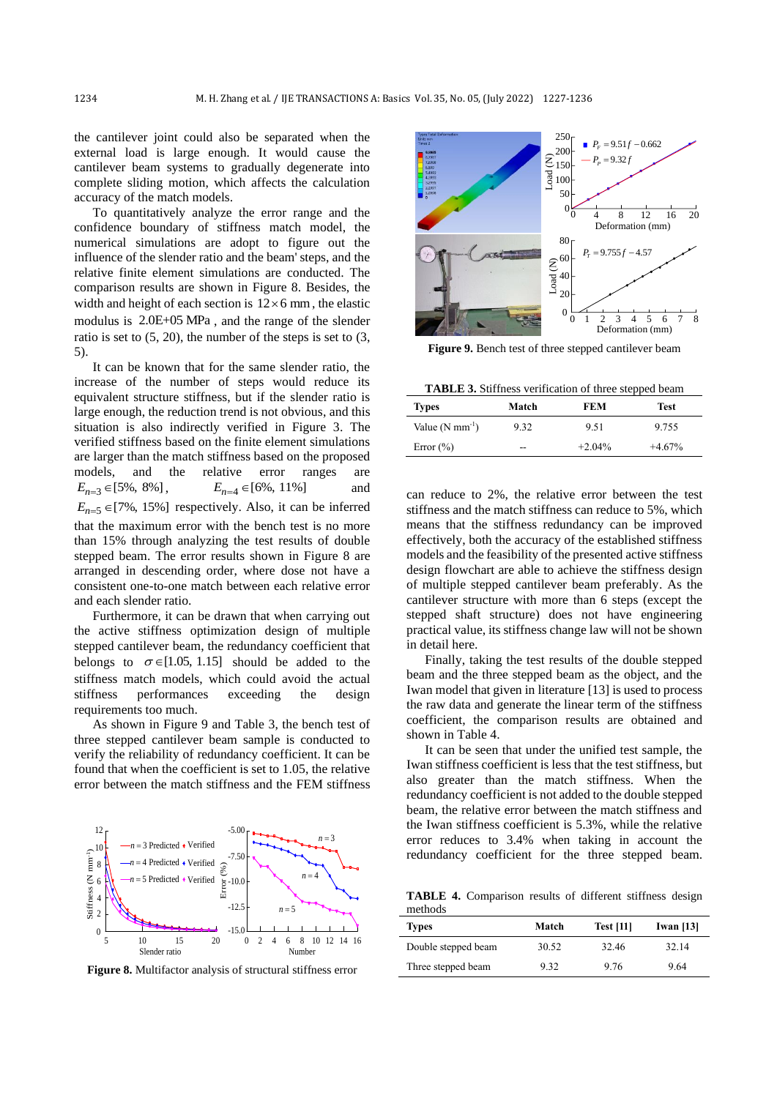the cantilever joint could also be separated when the external load is large enough. It would cause the cantilever beam systems to gradually degenerate into complete sliding motion, which affects the calculation accuracy of the match models.

To quantitatively analyze the error range and the confidence boundary of stiffness match model, the numerical simulations are adopt to figure out the influence of the slender ratio and the beam' steps, and the relative finite element simulations are conducted. The comparison results are shown in Figure 8. Besides, the width and height of each section is  $12 \times 6$  mm, the elastic modulus is 2.0E+05 MPa , and the range of the slender ratio is set to (5, 20), the number of the steps is set to (3, 5).

It can be known that for the same slender ratio, the increase of the number of steps would reduce its equivalent structure stiffness, but if the slender ratio is large enough, the reduction trend is not obvious, and this situation is also indirectly verified in Figure 3. The verified stiffness based on the finite element simulations are larger than the match stiffness based on the proposed models, and the relative error ranges are  $E_{n=3} \in [5\%, 8\%],$   $E_{n=4}$  $E_{n=4} \in [6\%, 11\%]$ and  $E_{n=5} \in [7\%, 15\%]$  respectively. Also, it can be inferred that the maximum error with the bench test is no more than 15% through analyzing the test results of double stepped beam. The error results shown in Figure 8 are arranged in descending order, where dose not have a consistent one-to-one match between each relative error and each slender ratio.

Furthermore, it can be drawn that when carrying out the active stiffness optimization design of multiple stepped cantilever beam, the redundancy coefficient that belongs to  $\sigma \in [1.05, 1.15]$  should be added to the stiffness match models, which could avoid the actual stiffness performances exceeding the design requirements too much.

As shown in Figure 9 and Table 3, the bench test of three stepped cantilever beam sample is conducted to verify the reliability of redundancy coefficient. It can be found that when the coefficient is set to 1.05, the relative error between the match stiffness and the FEM stiffness



**Figure 8.** Multifactor analysis of structural stiffness error



**Figure 9.** Bench test of three stepped cantilever beam

**TABLE 3.** Stiffness verification of three stepped beam

| <b>Types</b>                | Match | FEM       | Test     |
|-----------------------------|-------|-----------|----------|
| Value $(N \text{ mm}^{-1})$ | 9.32  | 9.51      | 9.755    |
| Error $(\% )$               | --    | $+2.04\%$ | $+4.67%$ |

can reduce to 2%, the relative error between the test stiffness and the match stiffness can reduce to 5%, which means that the stiffness redundancy can be improved effectively, both the accuracy of the established stiffness models and the feasibility of the presented active stiffness design flowchart are able to achieve the stiffness design of multiple stepped cantilever beam preferably. As the cantilever structure with more than 6 steps (except the stepped shaft structure) does not have engineering practical value, its stiffness change law will not be shown in detail here.

Finally, taking the test results of the double stepped beam and the three stepped beam as the object, and the Iwan model that given in literature [13] is used to process the raw data and generate the linear term of the stiffness coefficient, the comparison results are obtained and shown in Table 4.

It can be seen that under the unified test sample, the Iwan stiffness coefficient is less that the test stiffness, but also greater than the match stiffness. When the redundancy coefficient is not added to the double stepped beam, the relative error between the match stiffness and the Iwan stiffness coefficient is 5.3%, while the relative error reduces to 3.4% when taking in account the redundancy coefficient for the three stepped beam.

**TABLE 4.** Comparison results of different stiffness design methods

| <b>Types</b>        | Match | <b>Test</b> [11] | Iwan $[13]$ |
|---------------------|-------|------------------|-------------|
| Double stepped beam | 30.52 | 32.46            | 32.14       |
| Three stepped beam  | 9.32  | 9.76             | 9.64        |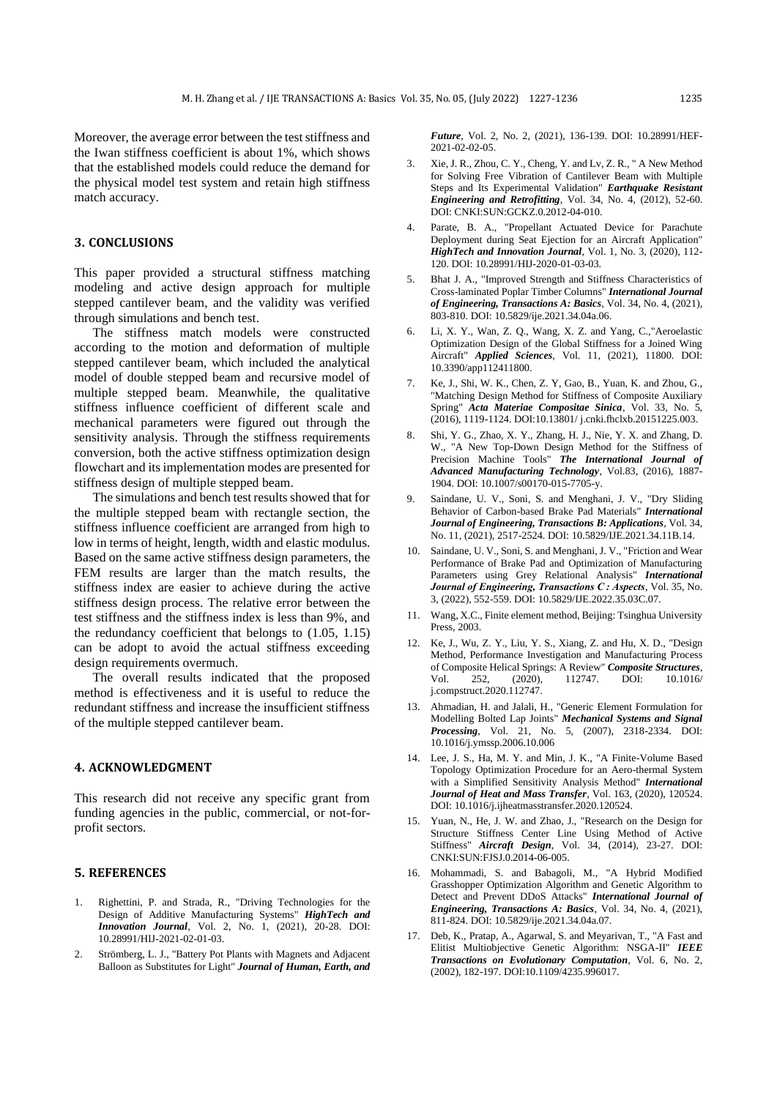Moreover, the average error between the test stiffness and the Iwan stiffness coefficient is about 1%, which shows that the established models could reduce the demand for the physical model test system and retain high stiffness match accuracy.

## **3. CONCLUSIONS**

This paper provided a structural stiffness matching modeling and active design approach for multiple stepped cantilever beam, and the validity was verified through simulations and bench test.

The stiffness match models were constructed according to the motion and deformation of multiple stepped cantilever beam, which included the analytical model of double stepped beam and recursive model of multiple stepped beam. Meanwhile, the qualitative stiffness influence coefficient of different scale and mechanical parameters were figured out through the sensitivity analysis. Through the stiffness requirements conversion, both the active stiffness optimization design flowchart and its implementation modes are presented for stiffness design of multiple stepped beam.

The simulations and bench test results showed that for the multiple stepped beam with rectangle section, the stiffness influence coefficient are arranged from high to low in terms of height, length, width and elastic modulus. Based on the same active stiffness design parameters, the FEM results are larger than the match results, the stiffness index are easier to achieve during the active stiffness design process. The relative error between the test stiffness and the stiffness index is less than 9%, and the redundancy coefficient that belongs to (1.05, 1.15) can be adopt to avoid the actual stiffness exceeding design requirements overmuch.

The overall results indicated that the proposed method is effectiveness and it is useful to reduce the redundant stiffness and increase the insufficient stiffness of the multiple stepped cantilever beam.

#### **4. ACKNOWLEDGMENT**

This research did not receive any specific grant from funding agencies in the public, commercial, or not-forprofit sectors.

### **5. REFERENCES**

- 1. Righettini, P. and Strada, R., "Driving Technologies for the Design of Additive Manufacturing Systems" *HighTech and Innovation Journal*, Vol. 2, No. 1, (2021), 20-28. DOI: 10.28991/HIJ-2021-02-01-03.
- 2. Strömberg, L. J., "Battery Pot Plants with Magnets and Adjacent Balloon as Substitutes for Light" *Journal of Human, Earth, and*

*Future*, Vol. 2, No. 2, (2021), 136-139. DOI: 10.28991/HEF-2021-02-02-05.

- 3. Xie, J. R., Zhou, C. Y., Cheng, Y. and Lv, Z. R., " A New Method for Solving Free Vibration of Cantilever Beam with Multiple Steps and Its Experimental Validation" *Earthquake Resistant Engineering and Retrofitting*, Vol. 34, No. 4, (2012), 52-60. DOI: CNKI:SUN:GCKZ.0.2012-04-010.
- 4. Parate, B. A., "Propellant Actuated Device for Parachute Deployment during Seat Ejection for an Aircraft Application" *HighTech and Innovation Journal*, Vol. 1, No. 3, (2020), 112-120. DOI: 10.28991/HIJ-2020-01-03-03.
- 5. Bhat J. A., "Improved Strength and Stiffness Characteristics of Cross-laminated Poplar Timber Columns" *International Journal of Engineering, Transactions A: Basics*, Vol. 34, No. 4, (2021), 803-810. DOI: 10.5829/ije.2021.34.04a.06.
- 6. Li, X. Y., Wan, Z. Q., Wang, X. Z. and Yang, C.,"Aeroelastic Optimization Design of the Global Stiffness for a Joined Wing Aircraft" *Applied Sciences*, Vol. 11, (2021), 11800. DOI: 10.3390/app112411800.
- 7. Ke, J., Shi, W. K., Chen, Z. Y, Gao, B., Yuan, K. and Zhou, G., "Matching Design Method for Stiffness of Composite Auxiliary Spring" *Acta Materiae Compositae Sinica*, Vol. 33, No. 5, (2016), 1119-1124. DOI:10.13801/ j.cnki.fhclxb.20151225.003.
- 8. Shi, Y. G., Zhao, X. Y., Zhang, H. J., Nie, Y. X. and Zhang, D. W., "A New Top-Down Design Method for the Stiffness of Precision Machine Tools" **The International Journal of** *Advanced Manufacturing Technology*, Vol.83, (2016), 1887- 1904. DOI: 10.1007/s00170-015-7705-y.
- 9. Saindane, U. V., Soni, S. and Menghani, J. V., "Dry Sliding Behavior of Carbon-based Brake Pad Materials" *International Journal of Engineering, Transactions B: Applications*, Vol. 34, No. 11, (2021), 2517-2524. DOI: 10.5829/IJE.2021.34.11B.14.
- 10. Saindane, U. V., Soni, S. and Menghani, J. V., "Friction and Wear Performance of Brake Pad and Optimization of Manufacturing Parameters using Grey Relational Analysis" *International Journal of Engineering, Transactions C : Aspects*, Vol. 35, No. 3, (2022), 552-559. DOI: 10.5829/IJE.2022.35.03C.07.
- 11. Wang, X.C., Finite element method, Beijing: Tsinghua University Press, 2003.
- 12. Ke, J., Wu, Z. Y., Liu, Y. S., Xiang, Z. and Hu, X. D., "Design Method, Performance Investigation and Manufacturing Process of Composite Helical Springs: A Review" *Composite Structures*, Vol. 252, (2020), 112747. DOI: 10.1016/ j.compstruct.2020.112747.
- 13. Ahmadian, H. and Jalali, H., "Generic Element Formulation for Modelling Bolted Lap Joints" *Mechanical Systems and Signal Processing*, Vol. 21, No. 5, (2007), 2318-2334. DOI: 10.1016/j.ymssp.2006.10.006
- 14. Lee, J. S., Ha, M. Y. and Min, J. K., "A Finite-Volume Based Topology Optimization Procedure for an Aero-thermal System with a Simplified Sensitivity Analysis Method" *International Journal of Heat and Mass Transfer*, Vol. 163, (2020), 120524. DOI: 10.1016/j.ijheatmasstransfer.2020.120524.
- 15. Yuan, N., He, J. W. and Zhao, J., "Research on the Design for Structure Stiffness Center Line Using Method of Active Stiffness" *Aircraft Design*, Vol. 34, (2014), 23-27. DOI: CNKI:SUN:FJSJ.0.2014-06-005.
- 16. Mohammadi, S. and Babagoli, M., "A Hybrid Modified Grasshopper Optimization Algorithm and Genetic Algorithm to Detect and Prevent DDoS Attacks" *International Journal of Engineering, Transactions A: Basics*, Vol. 34, No. 4, (2021), 811-824. DOI: 10.5829/ije.2021.34.04a.07.
- 17. Deb, K., Pratap, A., Agarwal, S. and Meyarivan, T., "A Fast and Elitist Multiobjective Genetic Algorithm: NSGA-II" *IEEE Transactions on Evolutionary Computation*, Vol. 6, No. 2, (2002), 182-197. DOI:10.1109/4235.996017.